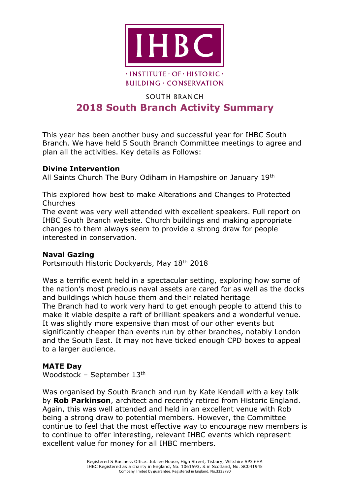

# **SOUTH BRANCH 2018 South Branch Activity Summary**

This year has been another busy and successful year for IHBC South Branch. We have held 5 South Branch Committee meetings to agree and plan all the activities. Key details as Follows:

### **Divine Intervention**

All Saints Church The Bury Odiham in Hampshire on January 19th

This explored how best to make Alterations and Changes to Protected Churches

The event was very well attended with excellent speakers. Full report on IHBC South Branch website. Church buildings and making appropriate changes to them always seem to provide a strong draw for people interested in conservation.

## **Naval Gazing**

Portsmouth Historic Dockyards, May 18th 2018

Was a terrific event held in a spectacular setting, exploring how some of the nation's most precious naval assets are cared for as well as the docks and buildings which house them and their related heritage The Branch had to work very hard to get enough people to attend this to make it viable despite a raft of brilliant speakers and a wonderful venue. It was slightly more expensive than most of our other events but significantly cheaper than events run by other branches, notably London and the South East. It may not have ticked enough CPD boxes to appeal to a larger audience.

#### **MATE Day**

Woodstock – September 13th

Was organised by South Branch and run by Kate Kendall with a key talk by **Rob Parkinson**, architect and recently retired from Historic England. Again, this was well attended and held in an excellent venue with Rob being a strong draw to potential members. However, the Committee continue to feel that the most effective way to encourage new members is to continue to offer interesting, relevant IHBC events which represent excellent value for money for all IHBC members.